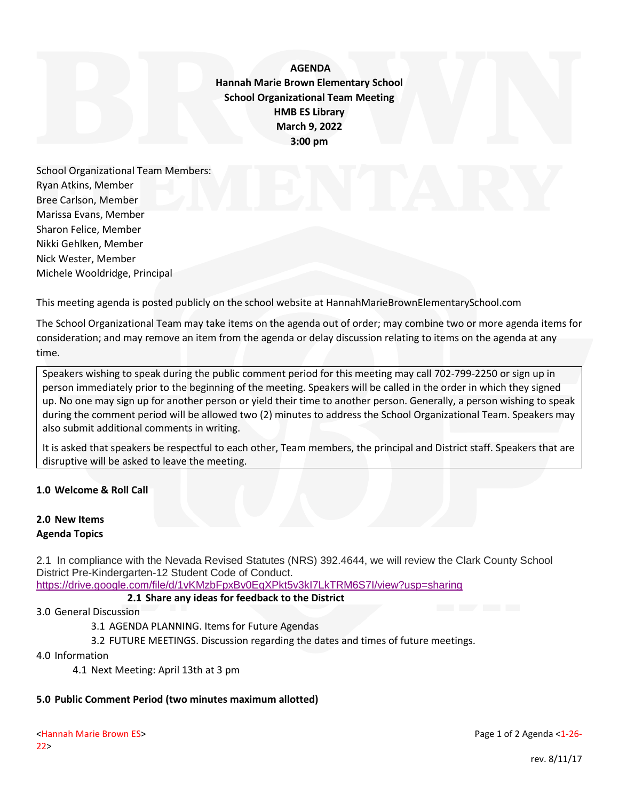**AGENDA Hannah Marie Brown Elementary School School Organizational Team Meeting HMB ES Library March 9, 2022 3:00 pm**

School Organizational Team Members: Ryan Atkins, Member Bree Carlson, Member Marissa Evans, Member Sharon Felice, Member Nikki Gehlken, Member Nick Wester, Member Michele Wooldridge, Principal

This meeting agenda is posted publicly on the school website at HannahMarieBrownElementarySchool.com

The School Organizational Team may take items on the agenda out of order; may combine two or more agenda items for consideration; and may remove an item from the agenda or delay discussion relating to items on the agenda at any time.

Speakers wishing to speak during the public comment period for this meeting may call 702-799-2250 or sign up in person immediately prior to the beginning of the meeting. Speakers will be called in the order in which they signed up. No one may sign up for another person or yield their time to another person. Generally, a person wishing to speak during the comment period will be allowed two (2) minutes to address the School Organizational Team. Speakers may also submit additional comments in writing.

It is asked that speakers be respectful to each other, Team members, the principal and District staff. Speakers that are disruptive will be asked to leave the meeting.

## **1.0 Welcome & Roll Call**

## **2.0 New Items Agenda Topics**

2.1 In compliance with the Nevada Revised Statutes (NRS) 392.4644, we will review the Clark County School District Pre-Kindergarten-12 Student Code of Conduct. <https://drive.google.com/file/d/1vKMzbFpxBv0EqXPkt5v3kI7LkTRM6S7I/view?usp=sharing>

**2.1 Share any ideas for feedback to the District**

3.0 General Discussion

3.1 AGENDA PLANNING. Items for Future Agendas

3.2 FUTURE MEETINGS. Discussion regarding the dates and times of future meetings.

4.0 Information

4.1 Next Meeting: April 13th at 3 pm

## **5.0 Public Comment Period (two minutes maximum allotted)**